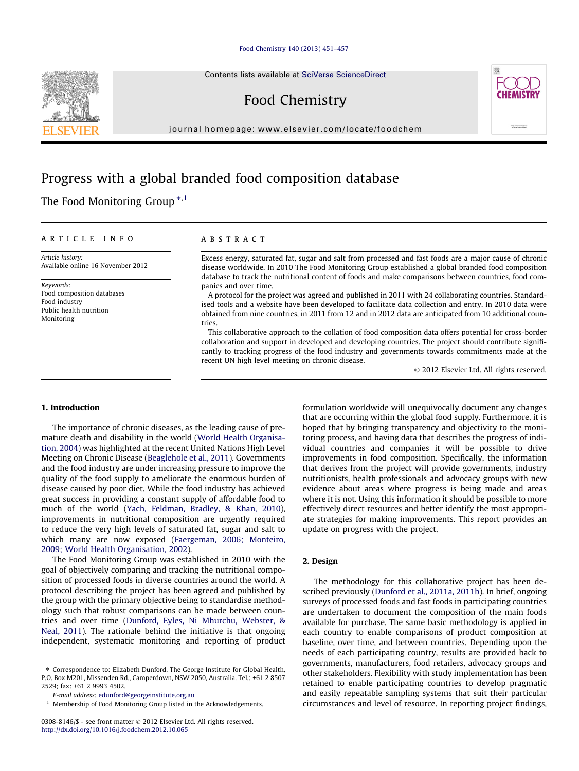#### [Food Chemistry 140 \(2013\) 451–457](http://dx.doi.org/10.1016/j.foodchem.2012.10.065)

Contents lists available at [SciVerse ScienceDirect](http://www.sciencedirect.com/science/journal/03088146)

Food Chemistry

journal homepage: [www.elsevier.com/locate/foodchem](http://www.elsevier.com/locate/foodchem)

# Progress with a global branded food composition database

The Food Monitoring Group  $*$ ,1

#### article info

Article history: Available online 16 November 2012

Keywords: Food composition databases Food industry Public health nutrition Monitoring

# **ABSTRACT**

Excess energy, saturated fat, sugar and salt from processed and fast foods are a major cause of chronic disease worldwide. In 2010 The Food Monitoring Group established a global branded food composition database to track the nutritional content of foods and make comparisons between countries, food companies and over time.

A protocol for the project was agreed and published in 2011 with 24 collaborating countries. Standardised tools and a website have been developed to facilitate data collection and entry. In 2010 data were obtained from nine countries, in 2011 from 12 and in 2012 data are anticipated from 10 additional countries.

This collaborative approach to the collation of food composition data offers potential for cross-border collaboration and support in developed and developing countries. The project should contribute significantly to tracking progress of the food industry and governments towards commitments made at the recent UN high level meeting on chronic disease.

- 2012 Elsevier Ltd. All rights reserved.

#### 1. Introduction

The importance of chronic diseases, as the leading cause of premature death and disability in the world [\(World Health Organisa](#page-6-0)[tion, 2004](#page-6-0)) was highlighted at the recent United Nations High Level Meeting on Chronic Disease ([Beaglehole et al., 2011\)](#page-5-0). Governments and the food industry are under increasing pressure to improve the quality of the food supply to ameliorate the enormous burden of disease caused by poor diet. While the food industry has achieved great success in providing a constant supply of affordable food to much of the world ([Yach, Feldman, Bradley, & Khan, 2010\)](#page-6-0), improvements in nutritional composition are urgently required to reduce the very high levels of saturated fat, sugar and salt to which many are now exposed ([Faergeman, 2006; Monteiro,](#page-5-0) [2009; World Health Organisation, 2002\)](#page-5-0).

The Food Monitoring Group was established in 2010 with the goal of objectively comparing and tracking the nutritional composition of processed foods in diverse countries around the world. A protocol describing the project has been agreed and published by the group with the primary objective being to standardise methodology such that robust comparisons can be made between countries and over time [\(Dunford, Eyles, Ni Mhurchu, Webster, &](#page-5-0) [Neal, 2011](#page-5-0)). The rationale behind the initiative is that ongoing independent, systematic monitoring and reporting of product formulation worldwide will unequivocally document any changes that are occurring within the global food supply. Furthermore, it is hoped that by bringing transparency and objectivity to the monitoring process, and having data that describes the progress of individual countries and companies it will be possible to drive improvements in food composition. Specifically, the information that derives from the project will provide governments, industry nutritionists, health professionals and advocacy groups with new evidence about areas where progress is being made and areas where it is not. Using this information it should be possible to more effectively direct resources and better identify the most appropriate strategies for making improvements. This report provides an update on progress with the project.

#### 2. Design

The methodology for this collaborative project has been described previously ([Dunford et al., 2011a, 2011b](#page-5-0)). In brief, ongoing surveys of processed foods and fast foods in participating countries are undertaken to document the composition of the main foods available for purchase. The same basic methodology is applied in each country to enable comparisons of product composition at baseline, over time, and between countries. Depending upon the needs of each participating country, results are provided back to governments, manufacturers, food retailers, advocacy groups and other stakeholders. Flexibility with study implementation has been retained to enable participating countries to develop pragmatic and easily repeatable sampling systems that suit their particular circumstances and level of resource. In reporting project findings,





<sup>⇑</sup> Correspondence to: Elizabeth Dunford, The George Institute for Global Health, P.O. Box M201, Missenden Rd., Camperdown, NSW 2050, Australia. Tel.: +61 2 8507 2529; fax: +61 2 9993 4502.

E-mail address: [edunford@georgeinstitute.org.au](mailto:edunford@georgeinstitute.org.au)

<sup>&</sup>lt;sup>1</sup> Membership of Food Monitoring Group listed in the Acknowledgements.

<sup>0308-8146/\$ -</sup> see front matter © 2012 Elsevier Ltd. All rights reserved. <http://dx.doi.org/10.1016/j.foodchem.2012.10.065>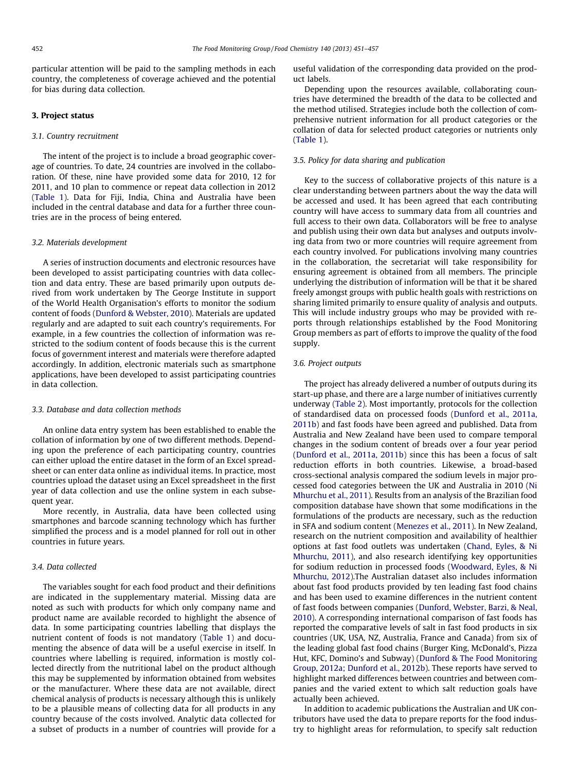particular attention will be paid to the sampling methods in each country, the completeness of coverage achieved and the potential for bias during data collection.

### 3. Project status

#### 3.1. Country recruitment

The intent of the project is to include a broad geographic coverage of countries. To date, 24 countries are involved in the collaboration. Of these, nine have provided some data for 2010, 12 for 2011, and 10 plan to commence or repeat data collection in 2012 ([Table 1\)](#page-2-0). Data for Fiji, India, China and Australia have been included in the central database and data for a further three countries are in the process of being entered.

#### 3.2. Materials development

A series of instruction documents and electronic resources have been developed to assist participating countries with data collection and data entry. These are based primarily upon outputs derived from work undertaken by The George Institute in support of the World Health Organisation's efforts to monitor the sodium content of foods ([Dunford & Webster, 2010](#page-5-0)). Materials are updated regularly and are adapted to suit each country's requirements. For example, in a few countries the collection of information was restricted to the sodium content of foods because this is the current focus of government interest and materials were therefore adapted accordingly. In addition, electronic materials such as smartphone applications, have been developed to assist participating countries in data collection.

#### 3.3. Database and data collection methods

An online data entry system has been established to enable the collation of information by one of two different methods. Depending upon the preference of each participating country, countries can either upload the entire dataset in the form of an Excel spreadsheet or can enter data online as individual items. In practice, most countries upload the dataset using an Excel spreadsheet in the first year of data collection and use the online system in each subsequent year.

More recently, in Australia, data have been collected using smartphones and barcode scanning technology which has further simplified the process and is a model planned for roll out in other countries in future years.

#### 3.4. Data collected

The variables sought for each food product and their definitions are indicated in the supplementary material. Missing data are noted as such with products for which only company name and product name are available recorded to highlight the absence of data. In some participating countries labelling that displays the nutrient content of foods is not mandatory [\(Table 1\)](#page-2-0) and documenting the absence of data will be a useful exercise in itself. In countries where labelling is required, information is mostly collected directly from the nutritional label on the product although this may be supplemented by information obtained from websites or the manufacturer. Where these data are not available, direct chemical analysis of products is necessary although this is unlikely to be a plausible means of collecting data for all products in any country because of the costs involved. Analytic data collected for a subset of products in a number of countries will provide for a useful validation of the corresponding data provided on the product labels.

Depending upon the resources available, collaborating countries have determined the breadth of the data to be collected and the method utilised. Strategies include both the collection of comprehensive nutrient information for all product categories or the collation of data for selected product categories or nutrients only ([Table 1\)](#page-2-0).

#### 3.5. Policy for data sharing and publication

Key to the success of collaborative projects of this nature is a clear understanding between partners about the way the data will be accessed and used. It has been agreed that each contributing country will have access to summary data from all countries and full access to their own data. Collaborators will be free to analyse and publish using their own data but analyses and outputs involving data from two or more countries will require agreement from each country involved. For publications involving many countries in the collaboration, the secretariat will take responsibility for ensuring agreement is obtained from all members. The principle underlying the distribution of information will be that it be shared freely amongst groups with public health goals with restrictions on sharing limited primarily to ensure quality of analysis and outputs. This will include industry groups who may be provided with reports through relationships established by the Food Monitoring Group members as part of efforts to improve the quality of the food supply.

#### 3.6. Project outputs

The project has already delivered a number of outputs during its start-up phase, and there are a large number of initiatives currently underway [\(Table 2\)](#page-3-0). Most importantly, protocols for the collection of standardised data on processed foods [\(Dunford et al., 2011a,](#page-5-0) [2011b](#page-5-0)) and fast foods have been agreed and published. Data from Australia and New Zealand have been used to compare temporal changes in the sodium content of breads over a four year period ([Dunford et al., 2011a, 2011b](#page-5-0)) since this has been a focus of salt reduction efforts in both countries. Likewise, a broad-based cross-sectional analysis compared the sodium levels in major processed food categories between the UK and Australia in 2010 [\(Ni](#page-6-0) [Mhurchu et al., 2011\)](#page-6-0). Results from an analysis of the Brazilian food composition database have shown that some modifications in the formulations of the products are necessary, such as the reduction in SFA and sodium content [\(Menezes et al., 2011\)](#page-6-0). In New Zealand, research on the nutrient composition and availability of healthier options at fast food outlets was undertaken [\(Chand, Eyles, & Ni](#page-5-0) [Mhurchu, 2011\)](#page-5-0), and also research identifying key opportunities for sodium reduction in processed foods ([Woodward, Eyles, & Ni](#page-6-0) [Mhurchu, 2012](#page-6-0)).The Australian dataset also includes information about fast food products provided by ten leading fast food chains and has been used to examine differences in the nutrient content of fast foods between companies ([Dunford, Webster, Barzi, & Neal,](#page-5-0) [2010\)](#page-5-0). A corresponding international comparison of fast foods has reported the comparative levels of salt in fast food products in six countries (UK, USA, NZ, Australia, France and Canada) from six of the leading global fast food chains (Burger King, McDonald's, Pizza Hut, KFC, Domino's and Subway) ([Dunford & The Food Monitoring](#page-5-0) [Group, 2012a; Dunford et al., 2012b](#page-5-0)). These reports have served to highlight marked differences between countries and between companies and the varied extent to which salt reduction goals have actually been achieved.

In addition to academic publications the Australian and UK contributors have used the data to prepare reports for the food industry to highlight areas for reformulation, to specify salt reduction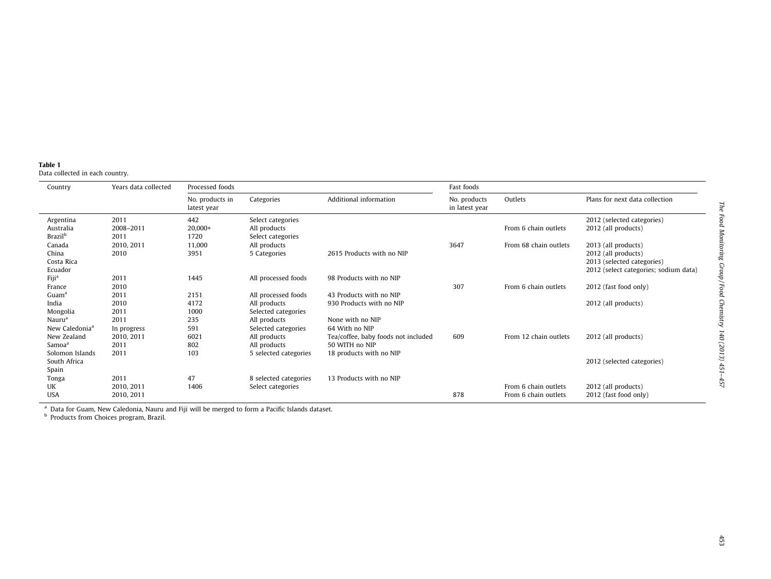#### <span id="page-2-0"></span>Table 1Data collected in each country.

| Country                    | Years data collected | Processed foods                |                       |                                     | Fast foods                     |                       |                                       |
|----------------------------|----------------------|--------------------------------|-----------------------|-------------------------------------|--------------------------------|-----------------------|---------------------------------------|
|                            |                      | No. products in<br>latest year | Categories            | Additional information              | No. products<br>in latest year | Outlets               | Plans for next data collection        |
| Argentina                  | 2011                 | 442                            | Select categories     |                                     |                                |                       | 2012 (selected categories)            |
| Australia                  | 2008-2011            | $20,000+$                      | All products          |                                     |                                | From 6 chain outlets  | 2012 (all products)                   |
| <b>Brazil</b> <sup>b</sup> | 2011                 | 1720                           | Select categories     |                                     |                                |                       |                                       |
| Canada                     | 2010, 2011           | 11,000                         | All products          |                                     | 3647                           | From 68 chain outlets | 2013 (all products)                   |
| China                      | 2010                 | 3951                           | 5 Categories          | 2615 Products with no NIP           |                                |                       | 2012 (all products)                   |
| Costa Rica                 |                      |                                |                       |                                     |                                |                       | 2013 (selected categories)            |
| Ecuador                    |                      |                                |                       |                                     |                                |                       | 2012 (select categories; sodium data) |
| Fiji <sup>a</sup>          | 2011                 | 1445                           | All processed foods   | 98 Products with no NIP             |                                |                       |                                       |
| France                     | 2010                 |                                |                       |                                     | 307                            | From 6 chain outlets  | 2012 (fast food only)                 |
| Guam <sup>a</sup>          | 2011                 | 2151                           | All processed foods   | 43 Products with no NIP             |                                |                       |                                       |
| India                      | 2010                 | 4172                           | All products          | 930 Products with no NIP            |                                |                       | 2012 (all products)                   |
| Mongolia                   | 2011                 | 1000                           | Selected categories   |                                     |                                |                       |                                       |
| Nauru <sup>a</sup>         | 2011                 | 235                            | All products          | None with no NIP                    |                                |                       |                                       |
| New Caledonia <sup>a</sup> | In progress          | 591                            | Selected categories   | 64 With no NIP                      |                                |                       |                                       |
| New Zealand                | 2010, 2011           | 6021                           | All products          | Tea/coffee, baby foods not included | 609                            | From 12 chain outlets | 2012 (all products)                   |
| Samoa <sup>a</sup>         | 2011                 | 802                            | All products          | 50 WITH no NIP                      |                                |                       |                                       |
| Solomon Islands            | 2011                 | 103                            | 5 selected categories | 18 products with no NIP             |                                |                       |                                       |
| South Africa               |                      |                                |                       |                                     |                                |                       | 2012 (selected categories)            |
| Spain                      |                      |                                |                       |                                     |                                |                       |                                       |
| Tonga                      | 2011                 | 47                             | 8 selected categories | 13 Products with no NIP             |                                |                       |                                       |
| UK                         | 2010, 2011           | 1406                           | Select categories     |                                     |                                | From 6 chain outlets  | 2012 (all products)                   |
| <b>USA</b>                 | 2010, 2011           |                                |                       |                                     | 878                            | From 6 chain outlets  | 2012 (fast food only)                 |

<sup>a</sup> Data for Guam, New Caledonia, Nauru and Fiji will be merged to form a Pacific Islands dataset.<br><sup>b</sup> Products from Choices program, Brazil.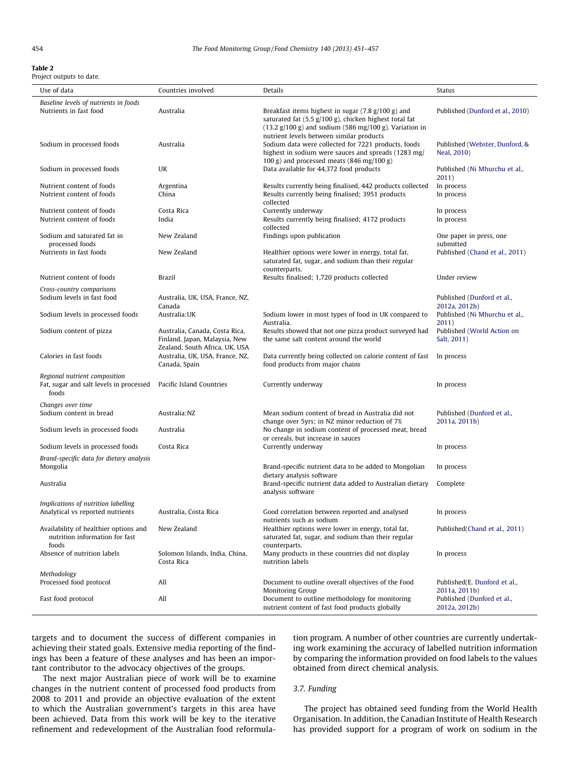#### <span id="page-3-0"></span>Table 2

Project outputs to date.

| Use of data                                                                       | Countries involved                                                                                | Details                                                                                                                                                                                                    | Status                                                       |
|-----------------------------------------------------------------------------------|---------------------------------------------------------------------------------------------------|------------------------------------------------------------------------------------------------------------------------------------------------------------------------------------------------------------|--------------------------------------------------------------|
| Baseline levels of nutrients in foods<br>Nutrients in fast food                   | Australia                                                                                         | Breakfast items highest in sugar $(7.8 \text{ g}/100 \text{ g})$ and<br>saturated fat (5.5 g/100 g), chicken highest total fat<br>$(13.2 \text{ g}/100 \text{ g})$ and sodium (586 mg/100 g). Variation in | Published (Dunford et al., 2010)                             |
| Sodium in processed foods                                                         | Australia                                                                                         | nutrient levels between similar products<br>Sodium data were collected for 7221 products, foods<br>highest in sodium were sauces and spreads (1283 mg/                                                     | Published (Webster, Dunford, &<br>Neal, 2010)                |
| Sodium in processed foods                                                         | UK                                                                                                | 100 g) and processed meats $(846 \text{ mg}/100 \text{ g})$<br>Data available for 44,372 food products                                                                                                     | Published (Ni Mhurchu et al.,<br>2011)                       |
| Nutrient content of foods<br>Nutrient content of foods                            | Argentina<br>China                                                                                | Results currently being finalised, 442 products collected<br>Results currently being finalised; 3951 products<br>collected                                                                                 | In process<br>In process                                     |
| Nutrient content of foods<br>Nutrient content of foods                            | Costa Rica<br>India                                                                               | Currently underway<br>Results currently being finalised; 4172 products<br>collected                                                                                                                        | In process<br>In process                                     |
| Sodium and saturated fat in<br>processed foods                                    | New Zealand                                                                                       | Findings upon publication                                                                                                                                                                                  | One paper in press, one<br>submitted                         |
| Nutrients in fast foods                                                           | New Zealand                                                                                       | Healthier options were lower in energy, total fat,<br>saturated fat, sugar, and sodium than their regular<br>counterparts.                                                                                 | Published (Chand et al., 2011)                               |
| Nutrient content of foods                                                         | Brazil                                                                                            | Results finalised; 1,720 products collected                                                                                                                                                                | Under review                                                 |
| Cross-country comparisons<br>Sodium levels in fast food                           | Australia, UK, USA, France, NZ,<br>Canada                                                         |                                                                                                                                                                                                            | Published (Dunford et al.,<br>2012a, 2012b)                  |
| Sodium levels in processed foods                                                  | Australia:UK                                                                                      | Sodium lower in most types of food in UK compared to<br>Australia.                                                                                                                                         | Published (Ni Mhurchu et al.,<br>2011)                       |
| Sodium content of pizza                                                           | Australia, Canada, Costa Rica,<br>Finland, Japan, Malaysia, New<br>Zealand, South Africa, UK, USA | Results showed that not one pizza product surveyed had<br>the same salt content around the world                                                                                                           | Published (World Action on<br>Salt, 2011)                    |
| Calories in fast foods                                                            | Australia, UK, USA, France, NZ,<br>Canada, Spain                                                  | Data currently being collected on calorie content of fast<br>food products from major chains                                                                                                               | In process                                                   |
| Regional nutrient composition<br>Fat, sugar and salt levels in processed<br>foods | Pacific Island Countries                                                                          | Currently underway                                                                                                                                                                                         | In process                                                   |
| Changes over time<br>Sodium content in bread                                      | Australia:NZ                                                                                      | Mean sodium content of bread in Australia did not<br>change over 5yrs; in NZ minor reduction of 7%                                                                                                         | Published (Dunford et al.,<br>2011a, 2011b)                  |
| Sodium levels in processed foods                                                  | Australia                                                                                         | No change in sodium content of processed meat, bread<br>or cereals, but increase in sauces                                                                                                                 |                                                              |
| Sodium levels in processed foods                                                  | Costa Rica                                                                                        | Currently underway                                                                                                                                                                                         | In process                                                   |
| Brand-specific data for dietary analysis<br>Mongolia                              |                                                                                                   | Brand-specific nutrient data to be added to Mongolian<br>dietary analysis software                                                                                                                         | In process                                                   |
| Australia                                                                         |                                                                                                   | Brand-specific nutrient data added to Australian dietary<br>analysis software                                                                                                                              | Complete                                                     |
| Implications of nutrition labelling<br>Analytical vs reported nutrients           | Australia, Costa Rica                                                                             | Good correlation between reported and analysed<br>nutrients such as sodium                                                                                                                                 | In process                                                   |
| Availability of healthier options and<br>nutrition information for fast<br>foods  | New Zealand                                                                                       | Healthier options were lower in energy, total fat,<br>saturated fat, sugar, and sodium than their regular<br>counterparts.                                                                                 | Published(Chand et al., 2011)                                |
| Absence of nutrition labels                                                       | Solomon Islands, India, China,<br>Costa Rica                                                      | Many products in these countries did not display<br>nutrition labels                                                                                                                                       | In process                                                   |
| Methodology<br>Processed food protocol                                            |                                                                                                   | Document to outline overall objectives of the Food                                                                                                                                                         | Published (E. Dunford et al.,                                |
| Fast food protocol                                                                | All<br>All                                                                                        | Monitoring Group<br>Document to outline methodology for monitoring<br>nutrient content of fast food products globally                                                                                      | 2011a, 2011b)<br>Published (Dunford et al.,<br>2012a, 2012b) |

targets and to document the success of different companies in achieving their stated goals. Extensive media reporting of the findings has been a feature of these analyses and has been an important contributor to the advocacy objectives of the groups.

tion program. A number of other countries are currently undertaking work examining the accuracy of labelled nutrition information by comparing the information provided on food labels to the values obtained from direct chemical analysis.

The next major Australian piece of work will be to examine changes in the nutrient content of processed food products from 2008 to 2011 and provide an objective evaluation of the extent to which the Australian government's targets in this area have been achieved. Data from this work will be key to the iterative refinement and redevelopment of the Australian food reformula-

# 3.7. Funding

The project has obtained seed funding from the World Health Organisation. In addition, the Canadian Institute of Health Research has provided support for a program of work on sodium in the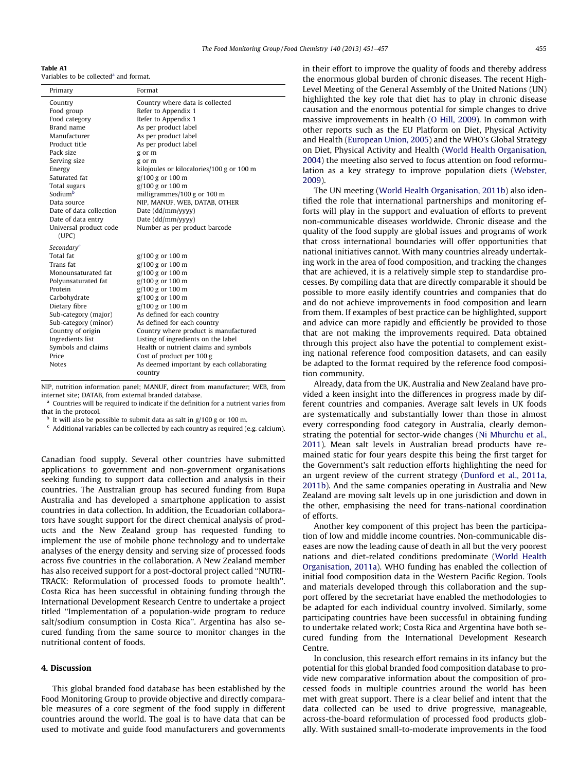<span id="page-4-0"></span>Table A1 Variables to be collected<sup>a</sup> and format.

| Primary                         | Format                                    |
|---------------------------------|-------------------------------------------|
| Country                         | Country where data is collected           |
| Food group                      | Refer to Appendix 1                       |
| Food category                   | Refer to Appendix 1                       |
| Brand name                      | As per product label                      |
| Manufacturer                    | As per product label                      |
| Product title                   | As per product label                      |
| Pack size                       | g or m                                    |
| Serving size                    | g or m                                    |
| Energy                          | kilojoules or kilocalories/100 g or 100 m |
| Saturated fat                   | g/100 g or 100 m                          |
| Total sugars                    | g/100 g or 100 m                          |
| Sodium <sup>b</sup>             | milligrammes/100 g or 100 m               |
| Data source                     | NIP, MANUF, WEB, DATAB, OTHER             |
| Date of data collection         | Date (dd/mm/yyyy)                         |
| Date of data entry              | Date (dd/mm/yyyy)                         |
| Universal product code<br>(UPC) | Number as per product barcode             |
| Secondary <sup>c</sup>          |                                           |
| Total fat                       | g/100 g or 100 m                          |
| Trans fat                       | g/100 g or 100 m                          |
| Monounsaturated fat             | g/100 g or 100 m                          |
| Polyunsaturated fat             | g/100 g or 100 m                          |
| Protein                         | g/100 g or 100 m                          |
| Carbohydrate                    | g/100 g or 100 m                          |
| Dietary fibre                   | g/100 g or 100 m                          |
| Sub-category (major)            | As defined for each country               |
| Sub-category (minor)            | As defined for each country               |
| Country of origin               | Country where product is manufactured     |
| Ingredients list                | Listing of ingredients on the label       |
| Symbols and claims              | Health or nutrient claims and symbols     |
| Price                           | Cost of product per 100 g                 |
| <b>Notes</b>                    | As deemed important by each collaborating |
|                                 | country                                   |

NIP, nutrition information panel; MANUF, direct from manufacturer; WEB, from internet site; DATAB, from external branded database.

<sup>a</sup> Countries will be required to indicate if the definition for a nutrient varies from that in the protocol.

It will also be possible to submit data as salt in  $g/100$  g or 100 m.

 $c$  Additional variables can be collected by each country as required (e.g. calcium).

Canadian food supply. Several other countries have submitted applications to government and non-government organisations seeking funding to support data collection and analysis in their countries. The Australian group has secured funding from Bupa Australia and has developed a smartphone application to assist countries in data collection. In addition, the Ecuadorian collaborators have sought support for the direct chemical analysis of products and the New Zealand group has requested funding to implement the use of mobile phone technology and to undertake analyses of the energy density and serving size of processed foods across five countries in the collaboration. A New Zealand member has also received support for a post-doctoral project called ''NUTRI-TRACK: Reformulation of processed foods to promote health''. Costa Rica has been successful in obtaining funding through the International Development Research Centre to undertake a project titled ''Implementation of a population-wide program to reduce salt/sodium consumption in Costa Rica''. Argentina has also secured funding from the same source to monitor changes in the nutritional content of foods.

#### 4. Discussion

This global branded food database has been established by the Food Monitoring Group to provide objective and directly comparable measures of a core segment of the food supply in different countries around the world. The goal is to have data that can be used to motivate and guide food manufacturers and governments in their effort to improve the quality of foods and thereby address the enormous global burden of chronic diseases. The recent High-Level Meeting of the General Assembly of the United Nations (UN) highlighted the key role that diet has to play in chronic disease causation and the enormous potential for simple changes to drive massive improvements in health ([O Hill, 2009](#page-5-0)). In common with other reports such as the EU Platform on Diet, Physical Activity and Health ([European Union, 2005](#page-5-0)) and the WHO's Global Strategy on Diet, Physical Activity and Health ([World Health Organisation,](#page-6-0) [2004](#page-6-0)) the meeting also served to focus attention on food reformulation as a key strategy to improve population diets ([Webster,](#page-6-0) [2009](#page-6-0)).

The UN meeting [\(World Health Organisation, 2011b\)](#page-6-0) also identified the role that international partnerships and monitoring efforts will play in the support and evaluation of efforts to prevent non-communicable diseases worldwide. Chronic disease and the quality of the food supply are global issues and programs of work that cross international boundaries will offer opportunities that national initiatives cannot. With many countries already undertaking work in the area of food composition, and tracking the changes that are achieved, it is a relatively simple step to standardise processes. By compiling data that are directly comparable it should be possible to more easily identify countries and companies that do and do not achieve improvements in food composition and learn from them. If examples of best practice can be highlighted, support and advice can more rapidly and efficiently be provided to those that are not making the improvements required. Data obtained through this project also have the potential to complement existing national reference food composition datasets, and can easily be adapted to the format required by the reference food composition community.

Already, data from the UK, Australia and New Zealand have provided a keen insight into the differences in progress made by different countries and companies. Average salt levels in UK foods are systematically and substantially lower than those in almost every corresponding food category in Australia, clearly demonstrating the potential for sector-wide changes ([Ni Mhurchu et al.,](#page-6-0) [2011](#page-6-0)). Mean salt levels in Australian bread products have remained static for four years despite this being the first target for the Government's salt reduction efforts highlighting the need for an urgent review of the current strategy ([Dunford et al., 2011a,](#page-5-0) [2011b](#page-5-0)). And the same companies operating in Australia and New Zealand are moving salt levels up in one jurisdiction and down in the other, emphasising the need for trans-national coordination of efforts.

Another key component of this project has been the participation of low and middle income countries. Non-communicable diseases are now the leading cause of death in all but the very poorest nations and diet-related conditions predominate ([World Health](#page-6-0) [Organisation, 2011a\)](#page-6-0). WHO funding has enabled the collection of initial food composition data in the Western Pacific Region. Tools and materials developed through this collaboration and the support offered by the secretariat have enabled the methodologies to be adapted for each individual country involved. Similarly, some participating countries have been successful in obtaining funding to undertake related work; Costa Rica and Argentina have both secured funding from the International Development Research Centre.

In conclusion, this research effort remains in its infancy but the potential for this global branded food composition database to provide new comparative information about the composition of processed foods in multiple countries around the world has been met with great support. There is a clear belief and intent that the data collected can be used to drive progressive, manageable, across-the-board reformulation of processed food products globally. With sustained small-to-moderate improvements in the food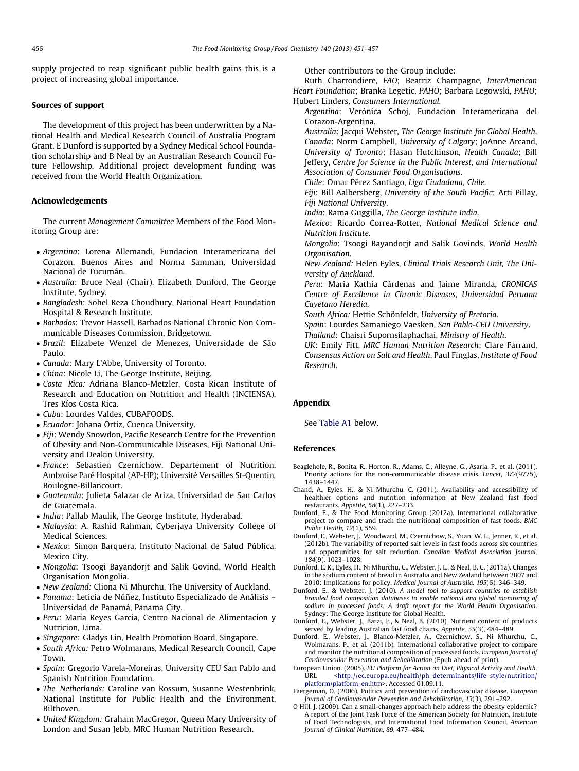<span id="page-5-0"></span>supply projected to reap significant public health gains this is a project of increasing global importance.

#### Sources of support

The development of this project has been underwritten by a National Health and Medical Research Council of Australia Program Grant. E Dunford is supported by a Sydney Medical School Foundation scholarship and B Neal by an Australian Research Council Future Fellowship. Additional project development funding was received from the World Health Organization.

## Acknowledgements

The current Management Committee Members of the Food Monitoring Group are:

- Argentina: Lorena Allemandi, Fundacion Interamericana del Corazon, Buenos Aires and Norma Samman, Universidad Nacional de Tucumán.
- Australia: Bruce Neal (Chair), Elizabeth Dunford, The George Institute, Sydney.
- Bangladesh: Sohel Reza Choudhury, National Heart Foundation Hospital & Research Institute.
- Barbados: Trevor Hassell, Barbados National Chronic Non Communicable Diseases Commission, Bridgetown.
- Brazil: Elizabete Wenzel de Menezes, Universidade de São Paulo.
- Canada: Mary L'Abbe, University of Toronto.
- China: Nicole Li, The George Institute, Beijing.
- Costa Rica: Adriana Blanco-Metzler, Costa Rican Institute of Research and Education on Nutrition and Health (INCIENSA), Tres Ríos Costa Rica.
- Cuba: Lourdes Valdes, CUBAFOODS.
- Ecuador: Johana Ortiz, Cuenca University.
- Fiji: Wendy Snowdon, Pacific Research Centre for the Prevention of Obesity and Non-Communicable Diseases, Fiji National University and Deakin University.
- France: Sebastien Czernichow, Departement of Nutrition, Ambroise Paré Hospital (AP-HP); Université Versailles St-Quentin, Boulogne-Billancourt.
- Guatemala: Julieta Salazar de Ariza, Universidad de San Carlos de Guatemala.
- India: Pallab Maulik, The George Institute, Hyderabad.
- Malaysia: A. Rashid Rahman, Cyberjaya University College of Medical Sciences.
- Mexico: Simon Barquera, Instituto Nacional de Salud Pública, Mexico City.
- Mongolia: Tsoogi Bayandorjt and Salik Govind, World Health Organisation Mongolia.
- New Zealand: Cliona Ni Mhurchu, The University of Auckland.
- Panama: Leticia de Núñez, Instituto Especializado de Análisis Universidad de Panamá, Panama City.
- Peru: Maria Reyes Garcia, Centro Nacional de Alimentacion y Nutricion, Lima.
- Singapore: Gladys Lin, Health Promotion Board, Singapore.
- South Africa: Petro Wolmarans, Medical Research Council, Cape Town.
- Spain: Gregorio Varela-Moreiras, University CEU San Pablo and Spanish Nutrition Foundation.
- The Netherlands: Caroline van Rossum, Susanne Westenbrink, National Institute for Public Health and the Environment, Bilthoven.
- United Kingdom: Graham MacGregor, Queen Mary University of London and Susan Jebb, MRC Human Nutrition Research.

Other contributors to the Group include:

Ruth Charrondiere, FAO; Beatriz Champagne, InterAmerican Heart Foundation; Branka Legetic, PAHO; Barbara Legowski, PAHO; Hubert Linders, Consumers International.

Argentina: Verónica Schoj, Fundacion Interamericana del Corazon-Argentina.

Australia: Jacqui Webster, The George Institute for Global Health. Canada: Norm Campbell, University of Calgary; JoAnne Arcand, University of Toronto; Hasan Hutchinson, Health Canada; Bill Jeffery, Centre for Science in the Public Interest, and International Association of Consumer Food Organisations.

Chile: Omar Pérez Santiago, Liga Ciudadana, Chile.

Fiji: Bill Aalbersberg, University of the South Pacific; Arti Pillay, Fiji National University.

India: Rama Guggilla, The George Institute India.

Mexico: Ricardo Correa-Rotter, National Medical Science and Nutrition Institute.

Mongolia: Tsoogi Bayandorjt and Salik Govinds, World Health Organisation.

New Zealand: Helen Eyles, Clinical Trials Research Unit, The University of Auckland.

Peru: María Kathia Cárdenas and Jaime Miranda, CRONICAS Centre of Excellence in Chronic Diseases, Universidad Peruana Cayetano Heredia.

South Africa: Hettie Schönfeldt, University of Pretoria.

Spain: Lourdes Samaniego Vaesken, San Pablo-CEU University. Thailand: Chaisri Supornsilaphachai, Ministry of Health.

UK: Emily Fitt, MRC Human Nutrition Research; Clare Farrand, Consensus Action on Salt and Health, Paul Finglas, Institute of Food Research.

#### Appendix

See [Table A1](#page-4-0) below.

#### References

- Beaglehole, R., Bonita, R., Horton, R., Adams, C., Alleyne, G., Asaria, P., et al. (2011). Priority actions for the non-communicable disease crisis. Lancet, 377(9775), 1438–1447.
- Chand, A., Eyles, H., & Ni Mhurchu, C. (2011). Availability and accessibility of healthier options and nutrition information at New Zealand fast food restaurants. Appetite, 58(1), 227–233.
- Dunford, E., & The Food Monitoring Group (2012a). International collaborative project to compare and track the nutritional composition of fast foods. BMC Public Health, 12(1), 559.
- Dunford, E., Webster, J., Woodward, M., Czernichow, S., Yuan, W. L., Jenner, K., et al. (2012b). The variability of reported salt levels in fast foods across six countries and opportunities for salt reduction. Canadian Medical Association Journal, 184(9), 1023–1028.
- Dunford, E. K., Eyles, H., Ni Mhurchu, C., Webster, J. L., & Neal, B. C. (2011a). Changes in the sodium content of bread in Australia and New Zealand between 2007 and 2010: Implications for policy. Medical Journal of Australia, 195(6), 346–349.
- Dunford, E., & Webster, J. (2010). A model tool to support countries to establish branded food composition databases to enable national and global monitoring of sodium in processed foods: A draft report for the World Health Organisation. Sydney: The George Institute for Global Health.
- Dunford, E., Webster, J., Barzi, F., & Neal, B. (2010). Nutrient content of products served by leading Australian fast food chains. Appetite, 55(3), 484–489.
- Dunford, E., Webster, J., Blanco-Metzler, A., Czernichow, S., Ni Mhurchu, C., Wolmarans, P., et al. (2011b). International collaborative project to compare and monitor the nutritional composition of processed foods. European Journal of Cardiovascular Prevention and Rehabilitation (Epub ahead of print).
- European Union. (2005). EU Platform for Action on Diet, Physical Activity and Health. URL <[http://ec.europa.eu/health/ph\\_determinants/life\\_style/nutrition/](http://ec.europa.eu/health/ph_determinants/life_style/nutrition/platform/platform_en.htm) [platform/platform\\_en.htm](http://ec.europa.eu/health/ph_determinants/life_style/nutrition/platform/platform_en.htm)>. Accessed 01.09.11.
- Faergeman, O. (2006). Politics and prevention of cardiovascular disease. European Journal of Cardiovascular Prevention and Rehabilitation, 13(3), 291–292.
- O Hill, J. (2009). Can a small-changes approach help address the obesity epidemic? A report of the Joint Task Force of the American Society for Nutrition, Institute of Food Technologists, and International Food Information Council. American Journal of Clinical Nutrition, 89, 477–484.